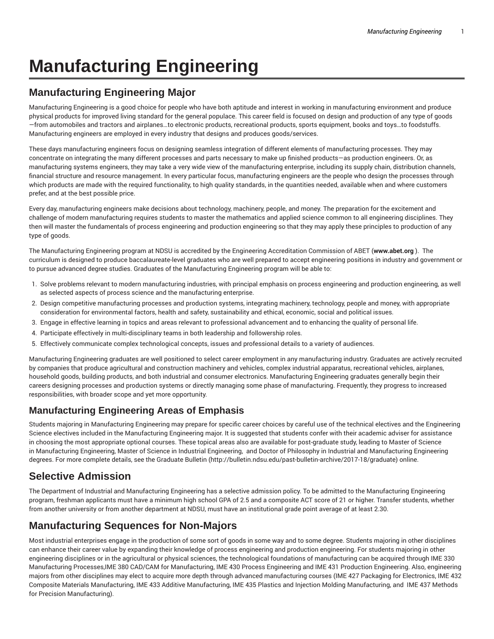# **Manufacturing Engineering**

## **Manufacturing Engineering Major**

Manufacturing Engineering is a good choice for people who have both aptitude and interest in working in manufacturing environment and produce physical products for improved living standard for the general populace. This career field is focused on design and production of any type of goods —from automobiles and tractors and airplanes…to electronic products, recreational products, sports equipment, books and toys…to foodstuffs. Manufacturing engineers are employed in every industry that designs and produces goods/services.

These days manufacturing engineers focus on designing seamless integration of different elements of manufacturing processes. They may concentrate on integrating the many different processes and parts necessary to make up finished products—as production engineers. Or, as manufacturing systems engineers, they may take a very wide view of the manufacturing enterprise, including its supply chain, distribution channels, financial structure and resource management. In every particular focus, manufacturing engineers are the people who design the processes through which products are made with the required functionality, to high quality standards, in the quantities needed, available when and where customers prefer, and at the best possible price.

Every day, manufacturing engineers make decisions about technology, machinery, people, and money. The preparation for the excitement and challenge of modern manufacturing requires students to master the mathematics and applied science common to all engineering disciplines. They then will master the fundamentals of process engineering and production engineering so that they may apply these principles to production of any type of goods.

The Manufacturing Engineering program at NDSU is accredited by the Engineering Accreditation Commission of ABET (**www.abet.org** ). The curriculum is designed to produce baccalaureate-level graduates who are well prepared to accept engineering positions in industry and government or to pursue advanced degree studies. Graduates of the Manufacturing Engineering program will be able to:

- 1. Solve problems relevant to modern manufacturing industries, with principal emphasis on process engineering and production engineering, as well as selected aspects of process science and the manufacturing enterprise.
- 2. Design competitive manufacturing processes and production systems, integrating machinery, technology, people and money, with appropriate consideration for environmental factors, health and safety, sustainability and ethical, economic, social and political issues.
- 3. Engage in effective learning in topics and areas relevant to professional advancement and to enhancing the quality of personal life.
- 4. Participate effectively in multi-disciplinary teams in both leadership and followership roles.
- 5. Effectively communicate complex technological concepts, issues and professional details to a variety of audiences.

Manufacturing Engineering graduates are well positioned to select career employment in any manufacturing industry. Graduates are actively recruited by companies that produce agricultural and construction machinery and vehicles, complex industrial apparatus, recreational vehicles, airplanes, household goods, building products, and both industrial and consumer electronics. Manufacturing Engineering graduates generally begin their careers designing processes and production systems or directly managing some phase of manufacturing. Frequently, they progress to increased responsibilities, with broader scope and yet more opportunity.

#### **Manufacturing Engineering Areas of Emphasis**

Students majoring in Manufacturing Engineering may prepare for specific career choices by careful use of the technical electives and the Engineering Science electives included in the Manufacturing Engineering major. It is suggested that students confer with their academic adviser for assistance in choosing the most appropriate optional courses. These topical areas also are available for post-graduate study, leading to Master of Science in Manufacturing Engineering, Master of Science in Industrial Engineering, and Doctor of Philosophy in Industrial and Manufacturing Engineering degrees. For more complete details, see the Graduate Bulletin (http://bulletin.ndsu.edu/past-bulletin-archive/2017-18/graduate) online.

## **Selective Admission**

The Department of Industrial and Manufacturing Engineering has a selective admission policy. To be admitted to the Manufacturing Engineering program, freshman applicants must have a minimum high school GPA of 2.5 and a composite ACT score of 21 or higher. Transfer students, whether from another university or from another department at NDSU, must have an institutional grade point average of at least 2.30.

## **Manufacturing Sequences for Non-Majors**

Most industrial enterprises engage in the production of some sort of goods in some way and to some degree. Students majoring in other disciplines can enhance their career value by expanding their knowledge of process engineering and production engineering. For students majoring in other engineering disciplines or in the agricultural or physical sciences, the technological foundations of manufacturing can be acquired through IME 330 Manufacturing Processes,IME 380 CAD/CAM for Manufacturing, IME 430 Process Engineering and IME 431 Production Engineering. Also, engineering majors from other disciplines may elect to acquire more depth through advanced manufacturing courses (IME 427 Packaging for Electronics, IME 432 Composite Materials Manufacturing, IME 433 Additive Manufacturing, IME 435 Plastics and Injection Molding Manufacturing, and IME 437 Methods for Precision Manufacturing).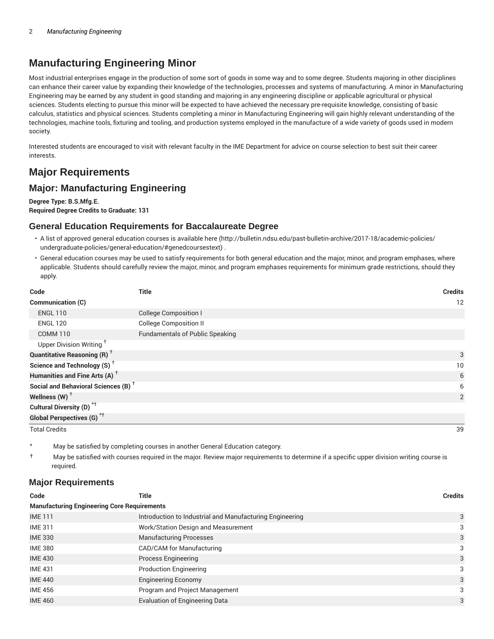## **Manufacturing Engineering Minor**

Most industrial enterprises engage in the production of some sort of goods in some way and to some degree. Students majoring in other disciplines can enhance their career value by expanding their knowledge of the technologies, processes and systems of manufacturing. A minor in Manufacturing Engineering may be earned by any student in good standing and majoring in any engineering discipline or applicable agricultural or physical sciences. Students electing to pursue this minor will be expected to have achieved the necessary pre-requisite knowledge, consisting of basic calculus, statistics and physical sciences. Students completing a minor in Manufacturing Engineering will gain highly relevant understanding of the technologies, machine tools, fixturing and tooling, and production systems employed in the manufacture of a wide variety of goods used in modern society.

Interested students are encouraged to visit with relevant faculty in the IME Department for advice on course selection to best suit their career interests.

## **Major Requirements**

### **Major: Manufacturing Engineering**

**Degree Type: B.S.Mfg.E. Required Degree Credits to Graduate: 131**

#### **General Education Requirements for Baccalaureate Degree**

- A list of approved general education courses is available here (http://bulletin.ndsu.edu/past-bulletin-archive/2017-18/academic-policies/ undergraduate-policies/general-education/#genedcoursestext) .
- General education courses may be used to satisfy requirements for both general education and the major, minor, and program emphases, where applicable. Students should carefully review the major, minor, and program emphases requirements for minimum grade restrictions, should they apply.

| Code                                            | <b>Title</b>                           | <b>Credits</b> |
|-------------------------------------------------|----------------------------------------|----------------|
| <b>Communication (C)</b>                        |                                        | 12             |
| <b>ENGL 110</b>                                 | <b>College Composition I</b>           |                |
| <b>ENGL 120</b>                                 | <b>College Composition II</b>          |                |
| <b>COMM 110</b>                                 | <b>Fundamentals of Public Speaking</b> |                |
| Upper Division Writing <sup>+</sup>             |                                        |                |
| <b>Quantitative Reasoning (R)</b> <sup>+</sup>  |                                        | 3              |
| Science and Technology (S) <sup>+</sup>         |                                        | 10             |
| Humanities and Fine Arts (A) <sup>+</sup>       |                                        | 6              |
| Social and Behavioral Sciences (B) <sup>+</sup> |                                        | 6              |
| Wellness (W) $^{\dagger}$                       |                                        | 2              |
| Cultural Diversity (D) <sup>*†</sup>            |                                        |                |
| <b>Global Perspectives (G)<sup>*†</sup></b>     |                                        |                |

Total Credits 39

May be satisfied by completing courses in another General Education category.

† May be satisfied with courses required in the major. Review major requirements to determine if a specific upper division writing course is required.

#### **Major Requirements**

| Code                                               | Title                                                    | <b>Credits</b> |  |
|----------------------------------------------------|----------------------------------------------------------|----------------|--|
| <b>Manufacturing Engineering Core Requirements</b> |                                                          |                |  |
| <b>IME111</b>                                      | Introduction to Industrial and Manufacturing Engineering | 3              |  |
| <b>IME 311</b>                                     | Work/Station Design and Measurement                      | 3              |  |
| <b>IME 330</b>                                     | <b>Manufacturing Processes</b>                           | 3              |  |
| <b>IME 380</b>                                     | CAD/CAM for Manufacturing                                | 3              |  |
| <b>IME 430</b>                                     | <b>Process Engineering</b>                               | 3              |  |
| <b>IME 431</b>                                     | <b>Production Engineering</b>                            | 3              |  |
| <b>IME 440</b>                                     | <b>Engineering Economy</b>                               | 3              |  |
| <b>IME 456</b>                                     | Program and Project Management                           | 3              |  |
| <b>IME 460</b>                                     | <b>Evaluation of Engineering Data</b>                    | 3              |  |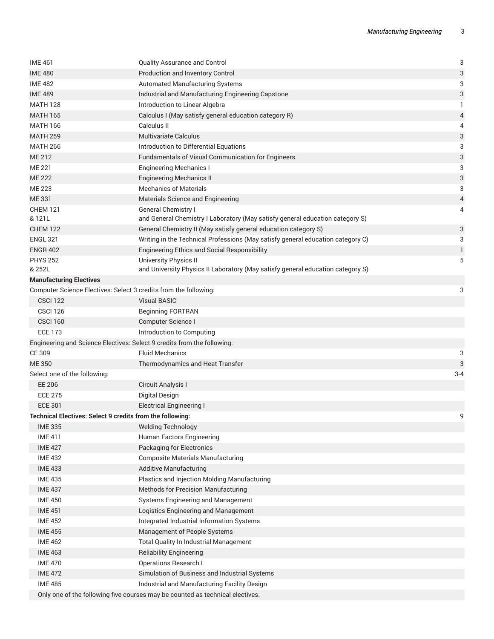| <b>IME 461</b>                                                   | <b>Quality Assurance and Control</b>                                            | $\ensuremath{\mathsf{3}}$ |
|------------------------------------------------------------------|---------------------------------------------------------------------------------|---------------------------|
| <b>IME 480</b>                                                   | <b>Production and Inventory Control</b>                                         | 3                         |
| <b>IME 482</b>                                                   | Automated Manufacturing Systems                                                 | 3                         |
| <b>IME 489</b>                                                   | Industrial and Manufacturing Engineering Capstone                               | 3                         |
| <b>MATH 128</b>                                                  | Introduction to Linear Algebra                                                  | 1                         |
| <b>MATH 165</b>                                                  | Calculus I (May satisfy general education category R)                           | 4                         |
| <b>MATH 166</b>                                                  | Calculus II                                                                     | 4                         |
| <b>MATH 259</b>                                                  | <b>Multivariate Calculus</b>                                                    | $\sqrt{3}$                |
| <b>MATH 266</b>                                                  | Introduction to Differential Equations                                          | 3                         |
| ME 212                                                           | Fundamentals of Visual Communication for Engineers                              | 3                         |
| ME 221                                                           | <b>Engineering Mechanics I</b>                                                  | 3                         |
| <b>ME 222</b>                                                    | <b>Engineering Mechanics II</b>                                                 | 3                         |
| <b>ME 223</b>                                                    | <b>Mechanics of Materials</b>                                                   | 3                         |
| ME 331                                                           | Materials Science and Engineering                                               | 4                         |
| <b>CHEM 121</b>                                                  | General Chemistry I                                                             | 4                         |
| & 121L                                                           | and General Chemistry I Laboratory (May satisfy general education category S)   |                           |
| <b>CHEM 122</b>                                                  | General Chemistry II (May satisfy general education category S)                 | 3                         |
| <b>ENGL 321</b>                                                  | Writing in the Technical Professions (May satisfy general education category C) | 3                         |
| <b>ENGR 402</b>                                                  | <b>Engineering Ethics and Social Responsibility</b>                             | 1                         |
| <b>PHYS 252</b>                                                  | University Physics II                                                           | 5                         |
| & 252L                                                           | and University Physics II Laboratory (May satisfy general education category S) |                           |
| <b>Manufacturing Electives</b>                                   |                                                                                 |                           |
|                                                                  | Computer Science Electives: Select 3 credits from the following:                | 3                         |
| <b>CSCI 122</b>                                                  | <b>Visual BASIC</b>                                                             |                           |
| <b>CSCI 126</b>                                                  | <b>Beginning FORTRAN</b>                                                        |                           |
| <b>CSCI 160</b>                                                  | Computer Science I                                                              |                           |
| <b>ECE 173</b>                                                   | Introduction to Computing                                                       |                           |
|                                                                  | Engineering and Science Electives: Select 9 credits from the following:         |                           |
| CE 309                                                           | <b>Fluid Mechanics</b>                                                          | 3                         |
| <b>ME350</b>                                                     | Thermodynamics and Heat Transfer                                                | 3                         |
| Select one of the following:                                     |                                                                                 | $3 - 4$                   |
| EE 206                                                           | Circuit Analysis I                                                              |                           |
| <b>ECE 275</b>                                                   | Digital Design                                                                  |                           |
| <b>ECE 301</b>                                                   | <b>Electrical Engineering I</b>                                                 |                           |
| <b>Technical Electives: Select 9 credits from the following:</b> |                                                                                 | 9                         |
| <b>IME 335</b>                                                   | <b>Welding Technology</b>                                                       |                           |
| <b>IME 411</b>                                                   | Human Factors Engineering                                                       |                           |
| <b>IME 427</b>                                                   | <b>Packaging for Electronics</b>                                                |                           |
| <b>IME 432</b>                                                   | <b>Composite Materials Manufacturing</b>                                        |                           |
| <b>IME 433</b>                                                   | <b>Additive Manufacturing</b>                                                   |                           |
| <b>IME 435</b>                                                   | Plastics and Injection Molding Manufacturing                                    |                           |
| <b>IME 437</b>                                                   | <b>Methods for Precision Manufacturing</b>                                      |                           |
| <b>IME 450</b>                                                   | Systems Engineering and Management                                              |                           |
| <b>IME 451</b>                                                   | Logistics Engineering and Management                                            |                           |
| <b>IME 452</b>                                                   | Integrated Industrial Information Systems                                       |                           |
| <b>IME 455</b>                                                   | Management of People Systems                                                    |                           |
| <b>IME 462</b>                                                   | Total Quality In Industrial Management                                          |                           |
| <b>IME 463</b>                                                   | <b>Reliability Engineering</b>                                                  |                           |
| <b>IME 470</b>                                                   | <b>Operations Research I</b>                                                    |                           |
| <b>IME 472</b>                                                   | Simulation of Business and Industrial Systems                                   |                           |
| <b>IME 485</b>                                                   | Industrial and Manufacturing Facility Design                                    |                           |
|                                                                  | Only one of the following five courses may be counted as technical electives.   |                           |
|                                                                  |                                                                                 |                           |